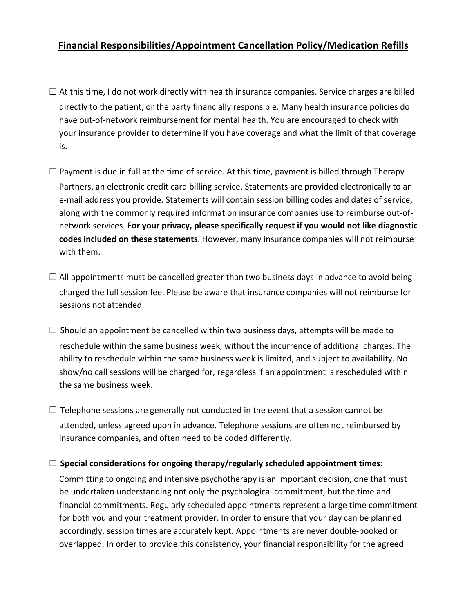## **Financial Responsibilities/Appointment Cancellation Policy/Medication Refills**

- $\Box$  At this time, I do not work directly with health insurance companies. Service charges are billed directly to the patient, or the party financially responsible. Many health insurance policies do have out-of-network reimbursement for mental health. You are encouraged to check with your insurance provider to determine if you have coverage and what the limit of that coverage is.
- $\Box$  Payment is due in full at the time of service. At this time, payment is billed through Therapy Partners, an electronic credit card billing service. Statements are provided electronically to an e-mail address you provide. Statements will contain session billing codes and dates of service, along with the commonly required information insurance companies use to reimburse out-ofnetwork services. For your privacy, please specifically request if you would not like diagnostic **codes included on these statements**. However, many insurance companies will not reimburse with them.
- $\Box$  All appointments must be cancelled greater than two business days in advance to avoid being charged the full session fee. Please be aware that insurance companies will not reimburse for sessions not attended.
- $\Box$  Should an appointment be cancelled within two business days, attempts will be made to reschedule within the same business week, without the incurrence of additional charges. The ability to reschedule within the same business week is limited, and subject to availability. No show/no call sessions will be charged for, regardless if an appointment is rescheduled within the same business week.
- $\Box$  Telephone sessions are generally not conducted in the event that a session cannot be attended, unless agreed upon in advance. Telephone sessions are often not reimbursed by insurance companies, and often need to be coded differently.

## $\square$  Special considerations for ongoing therapy/regularly scheduled appointment times:

Committing to ongoing and intensive psychotherapy is an important decision, one that must be undertaken understanding not only the psychological commitment, but the time and financial commitments. Regularly scheduled appointments represent a large time commitment for both you and your treatment provider. In order to ensure that your day can be planned accordingly, session times are accurately kept. Appointments are never double-booked or overlapped. In order to provide this consistency, your financial responsibility for the agreed